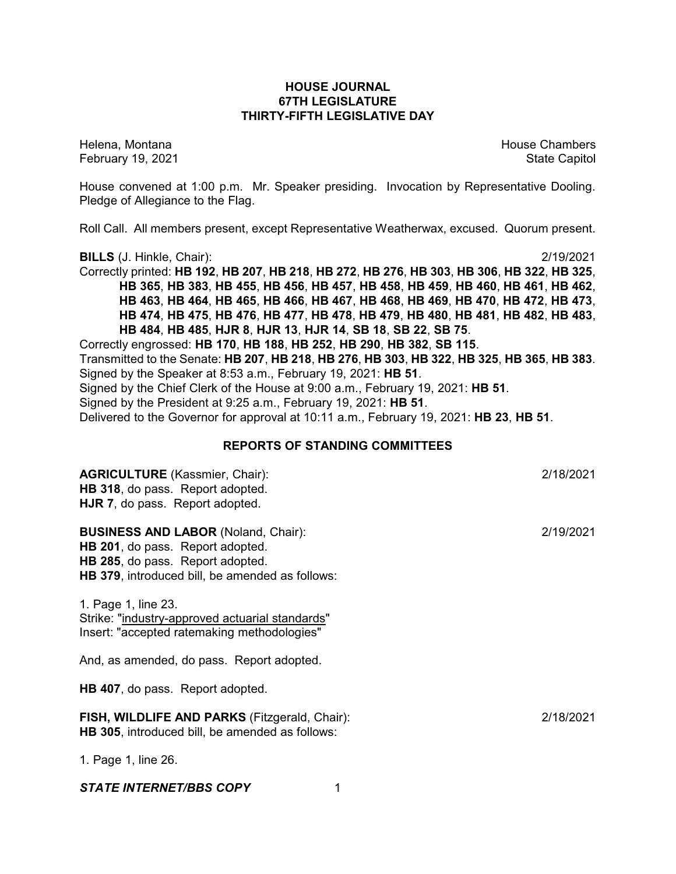## **HOUSE JOURNAL 67TH LEGISLATURE THIRTY-FIFTH LEGISLATIVE DAY**

February 19, 2021 **State Capitol** 

Helena, Montana House Chambers Chambers Chambers and House Chambers Chambers Chambers Chambers and House Chambers and House Chambers and House Chambers and House Chambers and House Chambers and House Chambers and House Cha

House convened at 1:00 p.m. Mr. Speaker presiding. Invocation by Representative Dooling. Pledge of Allegiance to the Flag.

Roll Call. All members present, except Representative Weatherwax, excused. Quorum present.

**BILLS** (J. Hinkle, Chair): 2/19/2021

Correctly printed: **HB 192**, **HB 207**, **HB 218**, **HB 272**, **HB 276**, **HB 303**, **HB 306**, **HB 322**, **HB 325**, **HB 365**, **HB 383**, **HB 455**, **HB 456**, **HB 457**, **HB 458**, **HB 459**, **HB 460**, **HB 461**, **HB 462**, **HB 463**, **HB 464**, **HB 465**, **HB 466**, **HB 467**, **HB 468**, **HB 469**, **HB 470**, **HB 472**, **HB 473**, **HB 474**, **HB 475**, **HB 476**, **HB 477**, **HB 478**, **HB 479**, **HB 480**, **HB 481**, **HB 482**, **HB 483**, **HB 484**, **HB 485**, **HJR 8**, **HJR 13**, **HJR 14**, **SB 18**, **SB 22**, **SB 75**.

Correctly engrossed: **HB 170**, **HB 188**, **HB 252**, **HB 290**, **HB 382**, **SB 115**. Transmitted to the Senate: **HB 207**, **HB 218**, **HB 276**, **HB 303**, **HB 322**, **HB 325**, **HB 365**, **HB 383**.

Signed by the Speaker at 8:53 a.m., February 19, 2021: **HB 51**.

Signed by the Chief Clerk of the House at 9:00 a.m., February 19, 2021: **HB 51**.

Signed by the President at 9:25 a.m., February 19, 2021: **HB 51**.

Delivered to the Governor for approval at 10:11 a.m., February 19, 2021: **HB 23**, **HB 51**.

# **REPORTS OF STANDING COMMITTEES**

| <b>AGRICULTURE</b> (Kassmier, Chair):<br>HB 318, do pass. Report adopted.<br>HJR 7, do pass. Report adopted.                                                                 | 2/18/2021 |
|------------------------------------------------------------------------------------------------------------------------------------------------------------------------------|-----------|
| <b>BUSINESS AND LABOR (Noland, Chair):</b><br>HB 201, do pass. Report adopted.<br>HB 285, do pass. Report adopted.<br><b>HB 379, introduced bill, be amended as follows:</b> | 2/19/2021 |
| 1. Page 1, line 23.<br>Strike: "industry-approved actuarial standards"<br>Insert: "accepted ratemaking methodologies"                                                        |           |
| And, as amended, do pass. Report adopted.                                                                                                                                    |           |
| <b>HB 407, do pass. Report adopted.</b>                                                                                                                                      |           |
| FISH, WILDLIFE AND PARKS (Fitzgerald, Chair):<br>HB 305, introduced bill, be amended as follows:                                                                             | 2/18/2021 |
| 1. Page 1, line 26.                                                                                                                                                          |           |
| <b>STATE INTERNET/BBS COPY</b>                                                                                                                                               |           |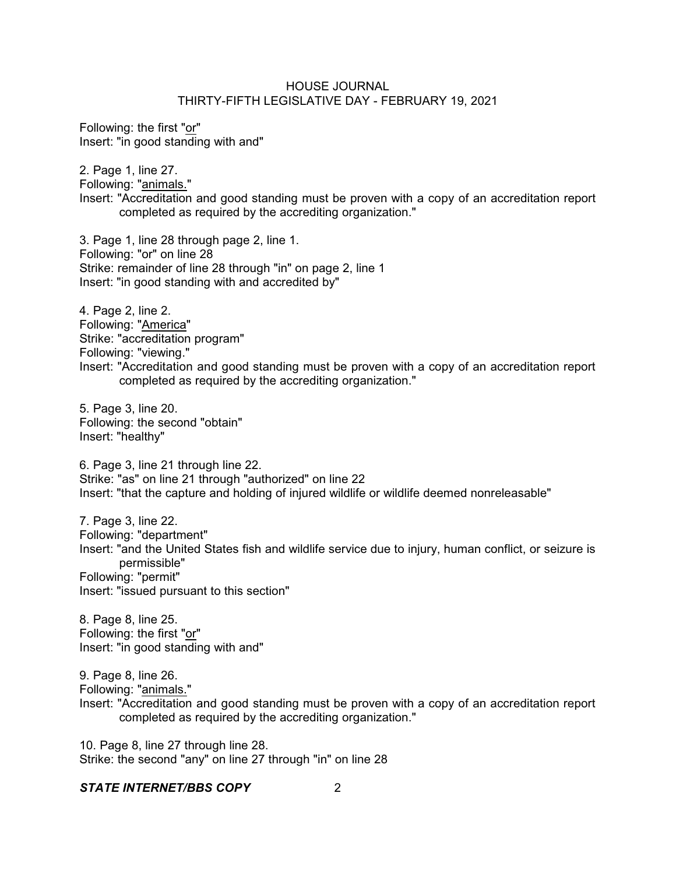Following: the first "or" Insert: "in good standing with and"

2. Page 1, line 27. Following: "animals."

Insert: "Accreditation and good standing must be proven with a copy of an accreditation report completed as required by the accrediting organization."

3. Page 1, line 28 through page 2, line 1. Following: "or" on line 28 Strike: remainder of line 28 through "in" on page 2, line 1 Insert: "in good standing with and accredited by"

4. Page 2, line 2. Following: "America" Strike: "accreditation program" Following: "viewing." Insert: "Accreditation and good standing must be proven with a copy of an accreditation report completed as required by the accrediting organization."

5. Page 3, line 20. Following: the second "obtain" Insert: "healthy"

6. Page 3, line 21 through line 22. Strike: "as" on line 21 through "authorized" on line 22 Insert: "that the capture and holding of injured wildlife or wildlife deemed nonreleasable"

7. Page 3, line 22. Following: "department" Insert: "and the United States fish and wildlife service due to injury, human conflict, or seizure is permissible" Following: "permit" Insert: "issued pursuant to this section"

8. Page 8, line 25. Following: the first "or" Insert: "in good standing with and"

9. Page 8, line 26. Following: "animals." Insert: "Accreditation and good standing must be proven with a copy of an accreditation report completed as required by the accrediting organization."

10. Page 8, line 27 through line 28. Strike: the second "any" on line 27 through "in" on line 28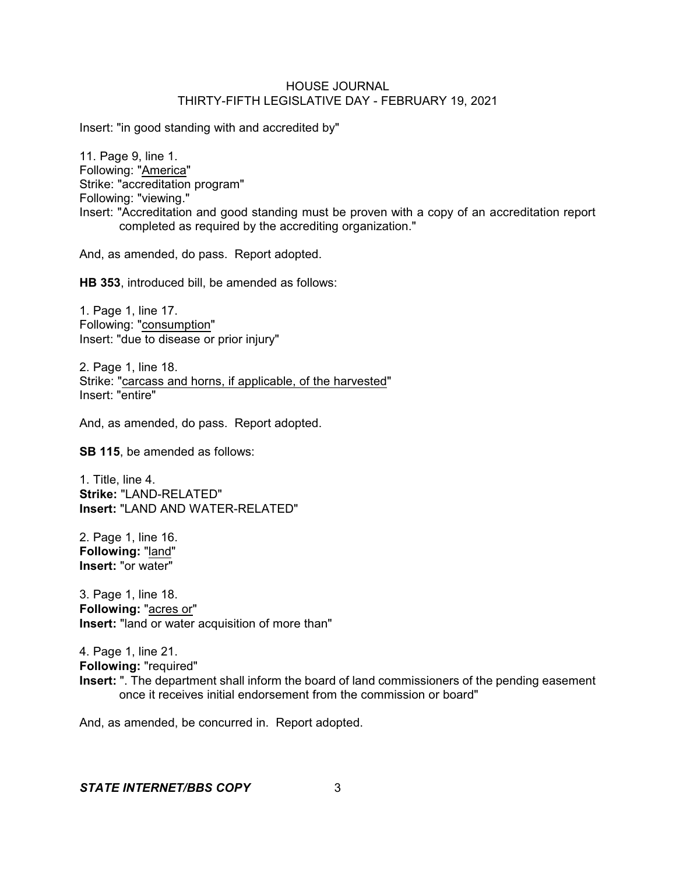Insert: "in good standing with and accredited by"

11. Page 9, line 1. Following: "America" Strike: "accreditation program" Following: "viewing." Insert: "Accreditation and good standing must be proven with a copy of an accreditation report completed as required by the accrediting organization."

And, as amended, do pass. Report adopted.

**HB 353**, introduced bill, be amended as follows:

1. Page 1, line 17. Following: "consumption" Insert: "due to disease or prior injury"

2. Page 1, line 18. Strike: "carcass and horns, if applicable, of the harvested" Insert: "entire"

And, as amended, do pass. Report adopted.

**SB 115**, be amended as follows:

1. Title, line 4. **Strike:** "LAND-RELATED" **Insert:** "LAND AND WATER-RELATED"

2. Page 1, line 16. **Following:** "land" **Insert:** "or water"

3. Page 1, line 18. **Following:** "acres or" **Insert:** "land or water acquisition of more than"

4. Page 1, line 21. **Following:** "required" **Insert:** ". The department shall inform the board of land commissioners of the pending easement once it receives initial endorsement from the commission or board"

And, as amended, be concurred in. Report adopted.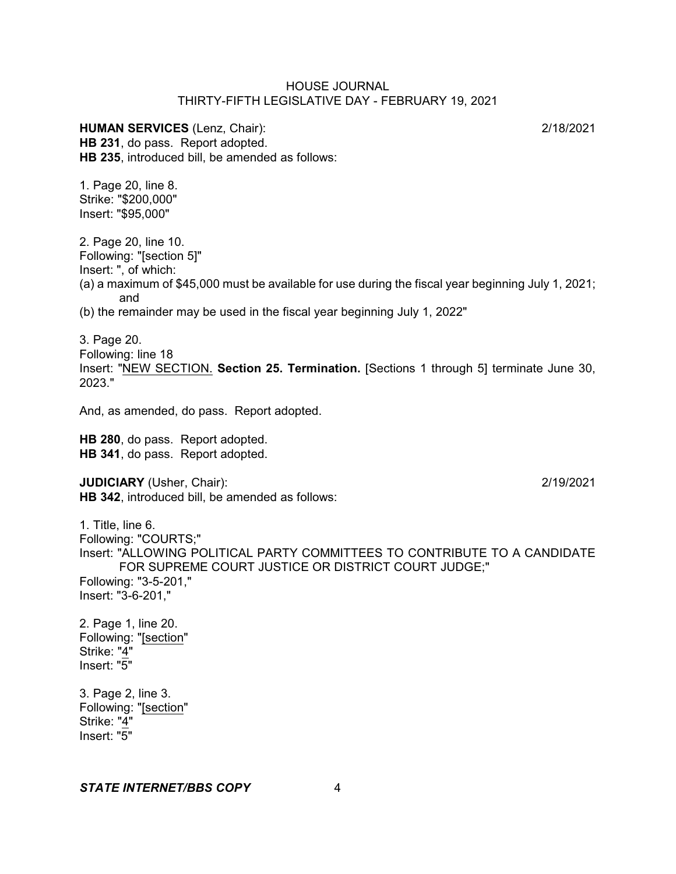**HUMAN SERVICES** (Lenz, Chair): 2/18/2021 **HB 231**, do pass. Report adopted. **HB 235**, introduced bill, be amended as follows:

1. Page 20, line 8. Strike: "\$200,000" Insert: "\$95,000"

2. Page 20, line 10. Following: "[section 5]" Insert: ", of which: (a) a maximum of \$45,000 must be available for use during the fiscal year beginning July 1, 2021; and

(b) the remainder may be used in the fiscal year beginning July 1, 2022"

3. Page 20. Following: line 18 Insert: "NEW SECTION. **Section 25. Termination.** [Sections 1 through 5] terminate June 30, 2023."

And, as amended, do pass. Report adopted.

**HB 280**, do pass. Report adopted. **HB 341**, do pass. Report adopted.

**JUDICIARY** (Usher, Chair): 2/19/2021 **HB 342**, introduced bill, be amended as follows:

1. Title, line 6. Following: "COURTS;" Insert: "ALLOWING POLITICAL PARTY COMMITTEES TO CONTRIBUTE TO A CANDIDATE FOR SUPREME COURT JUSTICE OR DISTRICT COURT JUDGE;" Following: "3-5-201," Insert: "3-6-201,"

2. Page 1, line 20. Following: "[section" Strike: "4" Insert: "5"

3. Page 2, line 3. Following: "[section" Strike: "4" Insert: "5"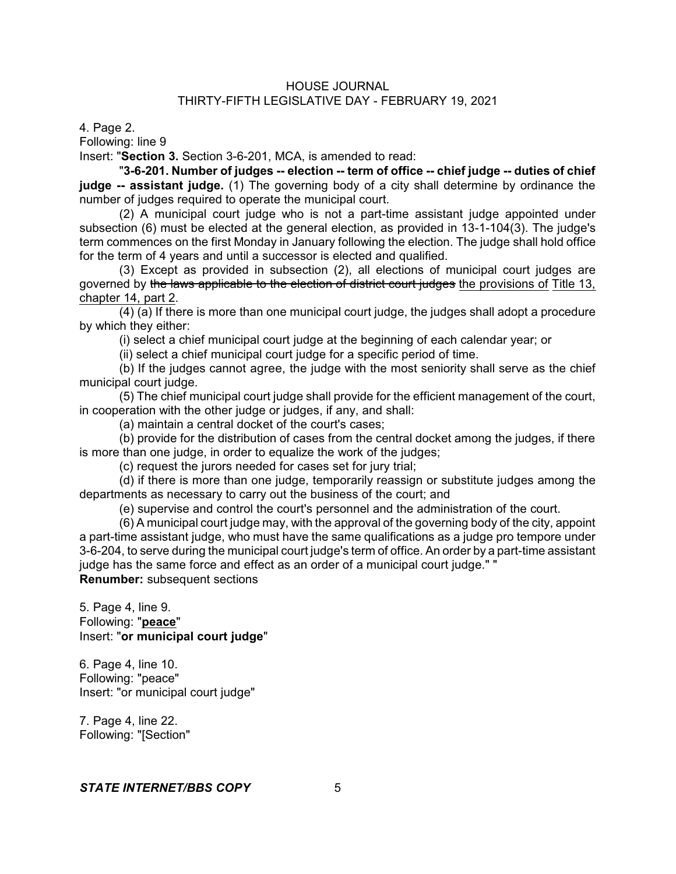4. Page 2.

Following: line 9

Insert: "**Section 3.** Section 3-6-201, MCA, is amended to read:

"**3-6-201. Number of judges -- election -- term of office -- chief judge -- duties of chief judge -- assistant judge.** (1) The governing body of a city shall determine by ordinance the number of judges required to operate the municipal court.

(2) A municipal court judge who is not a part-time assistant judge appointed under subsection (6) must be elected at the general election, as provided in 13-1-104(3). The judge's term commences on the first Monday in January following the election. The judge shall hold office for the term of 4 years and until a successor is elected and qualified.

(3) Except as provided in subsection (2), all elections of municipal court judges are governed by the laws applicable to the election of district court judges the provisions of Title 13, chapter 14, part 2.

(4) (a) If there is more than one municipal court judge, the judges shall adopt a procedure by which they either:

(i) select a chief municipal court judge at the beginning of each calendar year; or

(ii) select a chief municipal court judge for a specific period of time.

(b) If the judges cannot agree, the judge with the most seniority shall serve as the chief municipal court judge.

(5) The chief municipal court judge shall provide for the efficient management of the court, in cooperation with the other judge or judges, if any, and shall:

(a) maintain a central docket of the court's cases;

(b) provide for the distribution of cases from the central docket among the judges, if there is more than one judge, in order to equalize the work of the judges;

(c) request the jurors needed for cases set for jury trial;

(d) if there is more than one judge, temporarily reassign or substitute judges among the departments as necessary to carry out the business of the court; and

(e) supervise and control the court's personnel and the administration of the court.

(6) A municipal court judge may, with the approval of the governing body of the city, appoint a part-time assistant judge, who must have the same qualifications as a judge pro tempore under 3-6-204, to serve during the municipal court judge's term of office. An order by a part-time assistant judge has the same force and effect as an order of a municipal court judge." " **Renumber:** subsequent sections

5. Page 4, line 9. Following: "**peace**" Insert: "**or municipal court judge**"

6. Page 4, line 10. Following: "peace" Insert: "or municipal court judge"

7. Page 4, line 22. Following: "[Section"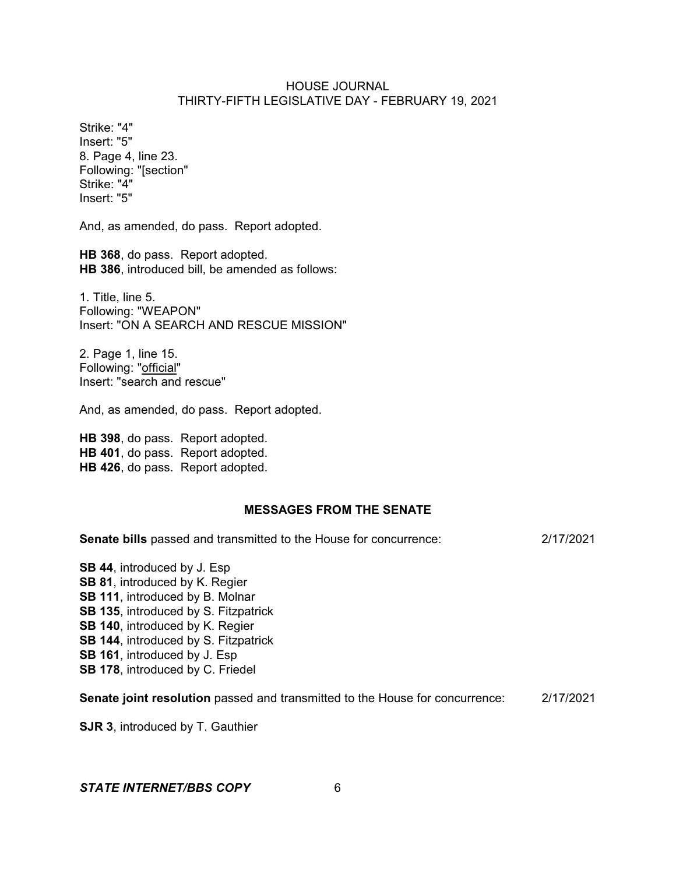Strike: "4" Insert: "5" 8. Page 4, line 23. Following: "[section" Strike: "4" Insert: "5"

And, as amended, do pass. Report adopted.

**HB 368**, do pass. Report adopted. **HB 386**, introduced bill, be amended as follows:

1. Title, line 5. Following: "WEAPON" Insert: "ON A SEARCH AND RESCUE MISSION"

2. Page 1, line 15. Following: "official" Insert: "search and rescue"

And, as amended, do pass. Report adopted.

**HB 398**, do pass. Report adopted. **HB 401**, do pass. Report adopted. **HB 426**, do pass. Report adopted.

#### **MESSAGES FROM THE SENATE**

**Senate bills** passed and transmitted to the House for concurrence: 2/17/2021

**SB 44**, introduced by J. Esp **SB 81**, introduced by K. Regier **SB 111**, introduced by B. Molnar **SB 135**, introduced by S. Fitzpatrick **SB 140**, introduced by K. Regier **SB 144**, introduced by S. Fitzpatrick **SB 161**, introduced by J. Esp **SB 178**, introduced by C. Friedel

**Senate joint resolution** passed and transmitted to the House for concurrence: 2/17/2021

**SJR 3**, introduced by T. Gauthier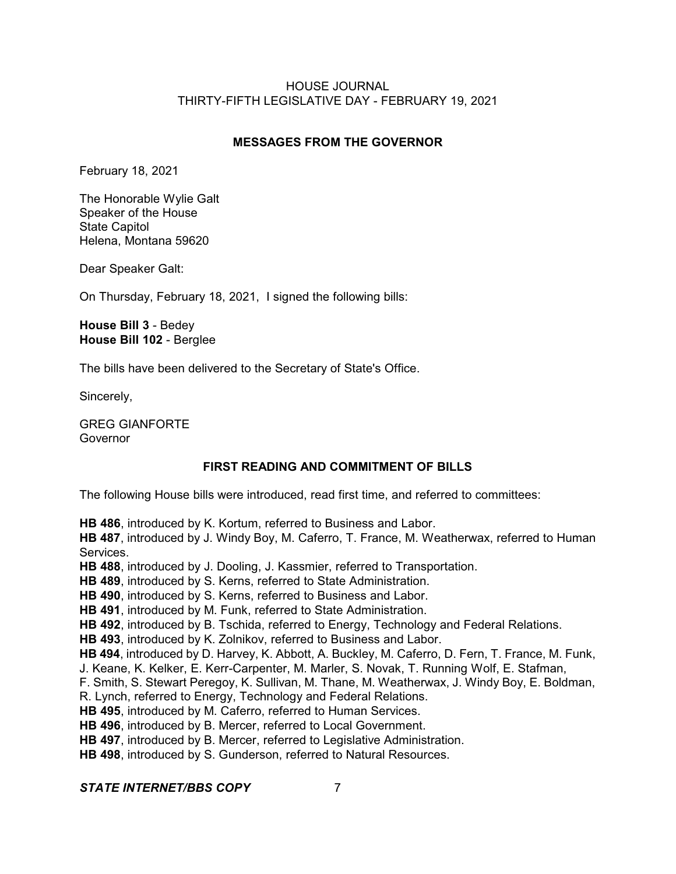# **MESSAGES FROM THE GOVERNOR**

February 18, 2021

The Honorable Wylie Galt Speaker of the House State Capitol Helena, Montana 59620

Dear Speaker Galt:

On Thursday, February 18, 2021, I signed the following bills:

**House Bill 3** - Bedey **House Bill 102** - Berglee

The bills have been delivered to the Secretary of State's Office.

Sincerely,

GREG GIANFORTE **Governor** 

# **FIRST READING AND COMMITMENT OF BILLS**

The following House bills were introduced, read first time, and referred to committees:

**HB 486**, introduced by K. Kortum, referred to Business and Labor. **HB 487**, introduced by J. Windy Boy, M. Caferro, T. France, M. Weatherwax, referred to Human Services. **HB 488**, introduced by J. Dooling, J. Kassmier, referred to Transportation. **HB 489**, introduced by S. Kerns, referred to State Administration. **HB 490**, introduced by S. Kerns, referred to Business and Labor. **HB 491**, introduced by M. Funk, referred to State Administration. **HB 492**, introduced by B. Tschida, referred to Energy, Technology and Federal Relations. **HB 493**, introduced by K. Zolnikov, referred to Business and Labor. **HB 494**, introduced by D. Harvey, K. Abbott, A. Buckley, M. Caferro, D. Fern, T. France, M. Funk, J. Keane, K. Kelker, E. Kerr-Carpenter, M. Marler, S. Novak, T. Running Wolf, E. Stafman, F. Smith, S. Stewart Peregoy, K. Sullivan, M. Thane, M. Weatherwax, J. Windy Boy, E. Boldman, R. Lynch, referred to Energy, Technology and Federal Relations. **HB 495**, introduced by M. Caferro, referred to Human Services. **HB 496**, introduced by B. Mercer, referred to Local Government. **HB 497**, introduced by B. Mercer, referred to Legislative Administration. **HB 498**, introduced by S. Gunderson, referred to Natural Resources.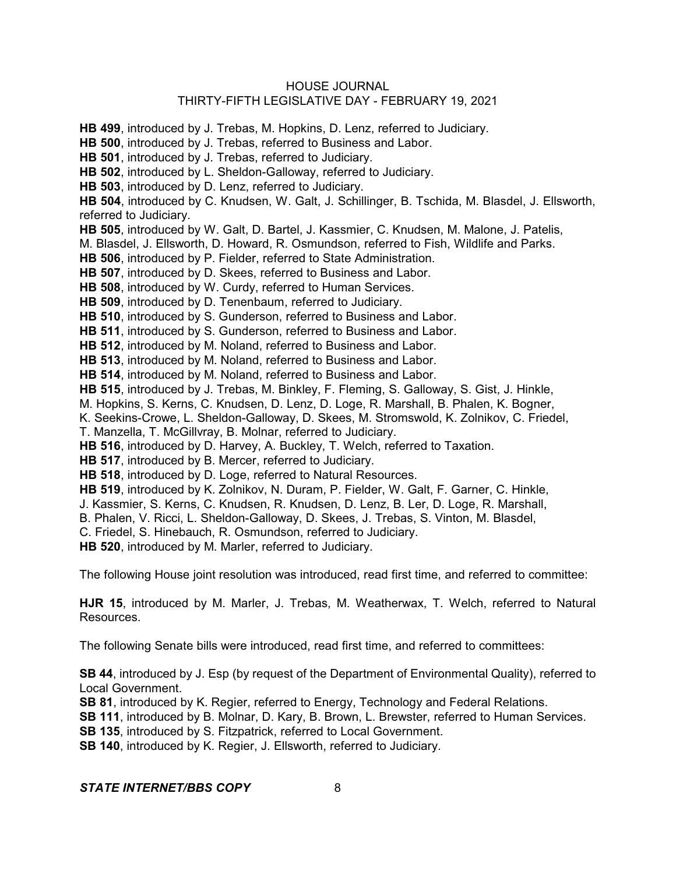**HB 499**, introduced by J. Trebas, M. Hopkins, D. Lenz, referred to Judiciary.

**HB 500**, introduced by J. Trebas, referred to Business and Labor.

**HB 501**, introduced by J. Trebas, referred to Judiciary.

**HB 502**, introduced by L. Sheldon-Galloway, referred to Judiciary.

**HB 503**, introduced by D. Lenz, referred to Judiciary.

**HB 504**, introduced by C. Knudsen, W. Galt, J. Schillinger, B. Tschida, M. Blasdel, J. Ellsworth, referred to Judiciary.

**HB 505**, introduced by W. Galt, D. Bartel, J. Kassmier, C. Knudsen, M. Malone, J. Patelis,

M. Blasdel, J. Ellsworth, D. Howard, R. Osmundson, referred to Fish, Wildlife and Parks.

**HB 506**, introduced by P. Fielder, referred to State Administration.

**HB 507**, introduced by D. Skees, referred to Business and Labor.

**HB 508**, introduced by W. Curdy, referred to Human Services.

**HB 509**, introduced by D. Tenenbaum, referred to Judiciary.

**HB 510**, introduced by S. Gunderson, referred to Business and Labor.

**HB 511**, introduced by S. Gunderson, referred to Business and Labor.

**HB 512**, introduced by M. Noland, referred to Business and Labor.

**HB 513**, introduced by M. Noland, referred to Business and Labor.

**HB 514**, introduced by M. Noland, referred to Business and Labor.

**HB 515**, introduced by J. Trebas, M. Binkley, F. Fleming, S. Galloway, S. Gist, J. Hinkle,

M. Hopkins, S. Kerns, C. Knudsen, D. Lenz, D. Loge, R. Marshall, B. Phalen, K. Bogner,

K. Seekins-Crowe, L. Sheldon-Galloway, D. Skees, M. Stromswold, K. Zolnikov, C. Friedel,

T. Manzella, T. McGillvray, B. Molnar, referred to Judiciary.

**HB 516**, introduced by D. Harvey, A. Buckley, T. Welch, referred to Taxation.

**HB 517**, introduced by B. Mercer, referred to Judiciary.

**HB 518**, introduced by D. Loge, referred to Natural Resources.

**HB 519**, introduced by K. Zolnikov, N. Duram, P. Fielder, W. Galt, F. Garner, C. Hinkle,

J. Kassmier, S. Kerns, C. Knudsen, R. Knudsen, D. Lenz, B. Ler, D. Loge, R. Marshall,

B. Phalen, V. Ricci, L. Sheldon-Galloway, D. Skees, J. Trebas, S. Vinton, M. Blasdel,

C. Friedel, S. Hinebauch, R. Osmundson, referred to Judiciary.

**HB 520**, introduced by M. Marler, referred to Judiciary.

The following House joint resolution was introduced, read first time, and referred to committee:

**HJR 15**, introduced by M. Marler, J. Trebas, M. Weatherwax, T. Welch, referred to Natural Resources.

The following Senate bills were introduced, read first time, and referred to committees:

**SB 44**, introduced by J. Esp (by request of the Department of Environmental Quality), referred to Local Government.

**SB 81**, introduced by K. Regier, referred to Energy, Technology and Federal Relations.

**SB 111**, introduced by B. Molnar, D. Kary, B. Brown, L. Brewster, referred to Human Services.

**SB 135**, introduced by S. Fitzpatrick, referred to Local Government.

**SB 140**, introduced by K. Regier, J. Ellsworth, referred to Judiciary.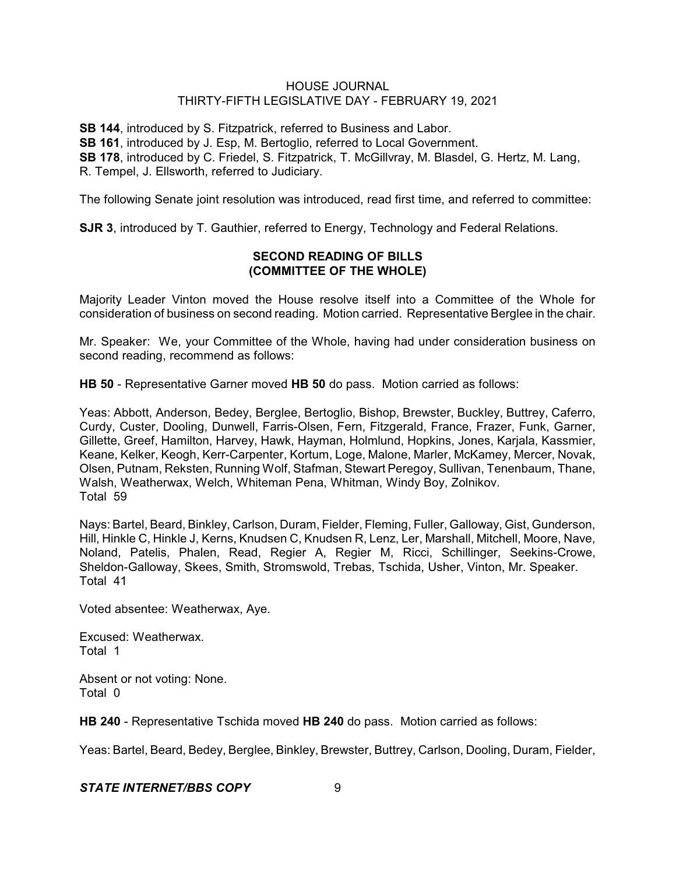**SB 144**, introduced by S. Fitzpatrick, referred to Business and Labor. **SB 161**, introduced by J. Esp, M. Bertoglio, referred to Local Government. **SB 178**, introduced by C. Friedel, S. Fitzpatrick, T. McGillvray, M. Blasdel, G. Hertz, M. Lang, R. Tempel, J. Ellsworth, referred to Judiciary.

The following Senate joint resolution was introduced, read first time, and referred to committee:

**SJR 3**, introduced by T. Gauthier, referred to Energy, Technology and Federal Relations.

# **SECOND READING OF BILLS (COMMITTEE OF THE WHOLE)**

Majority Leader Vinton moved the House resolve itself into a Committee of the Whole for consideration of business on second reading. Motion carried. Representative Berglee in the chair.

Mr. Speaker: We, your Committee of the Whole, having had under consideration business on second reading, recommend as follows:

**HB 50** - Representative Garner moved **HB 50** do pass. Motion carried as follows:

Yeas: Abbott, Anderson, Bedey, Berglee, Bertoglio, Bishop, Brewster, Buckley, Buttrey, Caferro, Curdy, Custer, Dooling, Dunwell, Farris-Olsen, Fern, Fitzgerald, France, Frazer, Funk, Garner, Gillette, Greef, Hamilton, Harvey, Hawk, Hayman, Holmlund, Hopkins, Jones, Karjala, Kassmier, Keane, Kelker, Keogh, Kerr-Carpenter, Kortum, Loge, Malone, Marler, McKamey, Mercer, Novak, Olsen, Putnam, Reksten, Running Wolf, Stafman, Stewart Peregoy, Sullivan, Tenenbaum, Thane, Walsh, Weatherwax, Welch, Whiteman Pena, Whitman, Windy Boy, Zolnikov. Total 59

Nays: Bartel, Beard, Binkley, Carlson, Duram, Fielder, Fleming, Fuller, Galloway, Gist, Gunderson, Hill, Hinkle C, Hinkle J, Kerns, Knudsen C, Knudsen R, Lenz, Ler, Marshall, Mitchell, Moore, Nave, Noland, Patelis, Phalen, Read, Regier A, Regier M, Ricci, Schillinger, Seekins-Crowe, Sheldon-Galloway, Skees, Smith, Stromswold, Trebas, Tschida, Usher, Vinton, Mr. Speaker. Total 41

Voted absentee: Weatherwax, Aye.

Excused: Weatherwax. Total 1

Absent or not voting: None. Total 0

**HB 240** - Representative Tschida moved **HB 240** do pass. Motion carried as follows:

Yeas: Bartel, Beard, Bedey, Berglee, Binkley, Brewster, Buttrey, Carlson, Dooling, Duram, Fielder,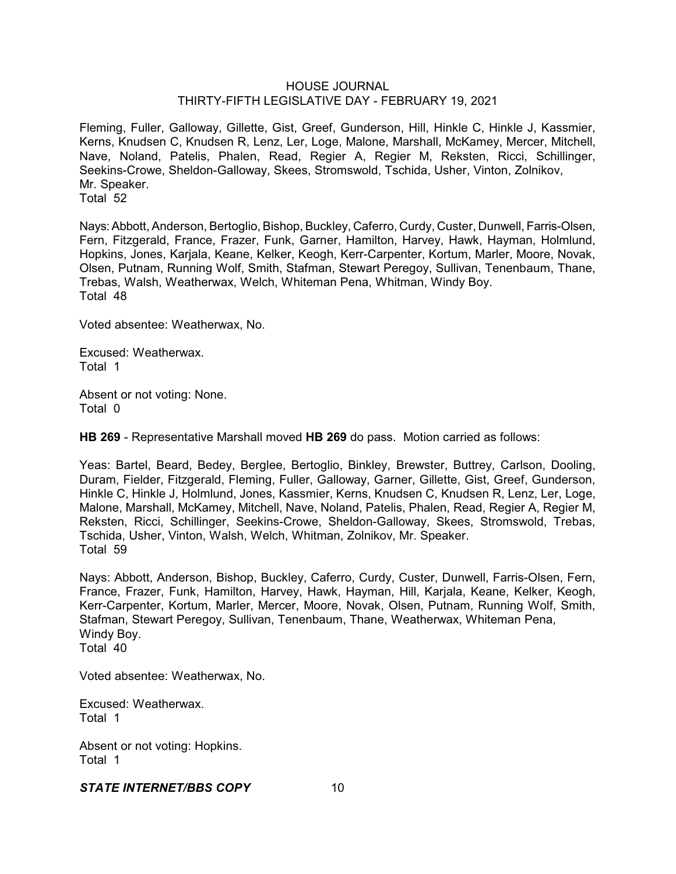Fleming, Fuller, Galloway, Gillette, Gist, Greef, Gunderson, Hill, Hinkle C, Hinkle J, Kassmier, Kerns, Knudsen C, Knudsen R, Lenz, Ler, Loge, Malone, Marshall, McKamey, Mercer, Mitchell, Nave, Noland, Patelis, Phalen, Read, Regier A, Regier M, Reksten, Ricci, Schillinger, Seekins-Crowe, Sheldon-Galloway, Skees, Stromswold, Tschida, Usher, Vinton, Zolnikov, Mr. Speaker. Total 52

Nays: Abbott, Anderson, Bertoglio, Bishop, Buckley, Caferro, Curdy, Custer, Dunwell, Farris-Olsen, Fern, Fitzgerald, France, Frazer, Funk, Garner, Hamilton, Harvey, Hawk, Hayman, Holmlund, Hopkins, Jones, Karjala, Keane, Kelker, Keogh, Kerr-Carpenter, Kortum, Marler, Moore, Novak, Olsen, Putnam, Running Wolf, Smith, Stafman, Stewart Peregoy, Sullivan, Tenenbaum, Thane, Trebas, Walsh, Weatherwax, Welch, Whiteman Pena, Whitman, Windy Boy. Total 48

Voted absentee: Weatherwax, No.

Excused: Weatherwax. Total 1

Absent or not voting: None. Total 0

**HB 269** - Representative Marshall moved **HB 269** do pass. Motion carried as follows:

Yeas: Bartel, Beard, Bedey, Berglee, Bertoglio, Binkley, Brewster, Buttrey, Carlson, Dooling, Duram, Fielder, Fitzgerald, Fleming, Fuller, Galloway, Garner, Gillette, Gist, Greef, Gunderson, Hinkle C, Hinkle J, Holmlund, Jones, Kassmier, Kerns, Knudsen C, Knudsen R, Lenz, Ler, Loge, Malone, Marshall, McKamey, Mitchell, Nave, Noland, Patelis, Phalen, Read, Regier A, Regier M, Reksten, Ricci, Schillinger, Seekins-Crowe, Sheldon-Galloway, Skees, Stromswold, Trebas, Tschida, Usher, Vinton, Walsh, Welch, Whitman, Zolnikov, Mr. Speaker. Total 59

Nays: Abbott, Anderson, Bishop, Buckley, Caferro, Curdy, Custer, Dunwell, Farris-Olsen, Fern, France, Frazer, Funk, Hamilton, Harvey, Hawk, Hayman, Hill, Karjala, Keane, Kelker, Keogh, Kerr-Carpenter, Kortum, Marler, Mercer, Moore, Novak, Olsen, Putnam, Running Wolf, Smith, Stafman, Stewart Peregoy, Sullivan, Tenenbaum, Thane, Weatherwax, Whiteman Pena, Windy Boy. Total 40

Voted absentee: Weatherwax, No.

Excused: Weatherwax. Total 1

Absent or not voting: Hopkins. Total 1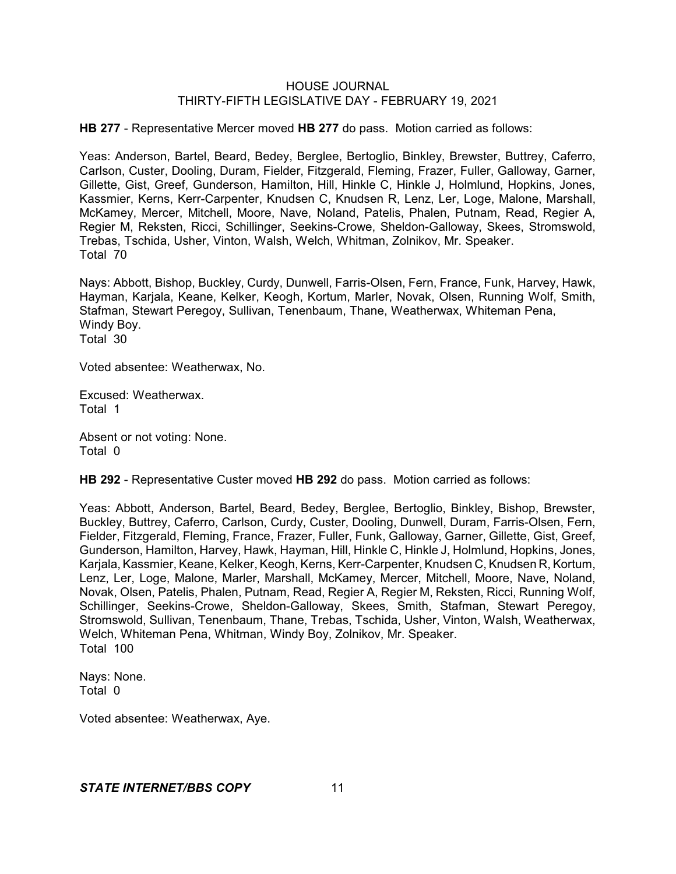**HB 277** - Representative Mercer moved **HB 277** do pass. Motion carried as follows:

Yeas: Anderson, Bartel, Beard, Bedey, Berglee, Bertoglio, Binkley, Brewster, Buttrey, Caferro, Carlson, Custer, Dooling, Duram, Fielder, Fitzgerald, Fleming, Frazer, Fuller, Galloway, Garner, Gillette, Gist, Greef, Gunderson, Hamilton, Hill, Hinkle C, Hinkle J, Holmlund, Hopkins, Jones, Kassmier, Kerns, Kerr-Carpenter, Knudsen C, Knudsen R, Lenz, Ler, Loge, Malone, Marshall, McKamey, Mercer, Mitchell, Moore, Nave, Noland, Patelis, Phalen, Putnam, Read, Regier A, Regier M, Reksten, Ricci, Schillinger, Seekins-Crowe, Sheldon-Galloway, Skees, Stromswold, Trebas, Tschida, Usher, Vinton, Walsh, Welch, Whitman, Zolnikov, Mr. Speaker. Total 70

Nays: Abbott, Bishop, Buckley, Curdy, Dunwell, Farris-Olsen, Fern, France, Funk, Harvey, Hawk, Hayman, Karjala, Keane, Kelker, Keogh, Kortum, Marler, Novak, Olsen, Running Wolf, Smith, Stafman, Stewart Peregoy, Sullivan, Tenenbaum, Thane, Weatherwax, Whiteman Pena, Windy Boy. Total 30

Voted absentee: Weatherwax, No.

Excused: Weatherwax. Total 1

Absent or not voting: None. Total 0

**HB 292** - Representative Custer moved **HB 292** do pass. Motion carried as follows:

Yeas: Abbott, Anderson, Bartel, Beard, Bedey, Berglee, Bertoglio, Binkley, Bishop, Brewster, Buckley, Buttrey, Caferro, Carlson, Curdy, Custer, Dooling, Dunwell, Duram, Farris-Olsen, Fern, Fielder, Fitzgerald, Fleming, France, Frazer, Fuller, Funk, Galloway, Garner, Gillette, Gist, Greef, Gunderson, Hamilton, Harvey, Hawk, Hayman, Hill, Hinkle C, Hinkle J, Holmlund, Hopkins, Jones, Karjala, Kassmier, Keane, Kelker, Keogh, Kerns, Kerr-Carpenter, Knudsen C, Knudsen R, Kortum, Lenz, Ler, Loge, Malone, Marler, Marshall, McKamey, Mercer, Mitchell, Moore, Nave, Noland, Novak, Olsen, Patelis, Phalen, Putnam, Read, Regier A, Regier M, Reksten, Ricci, Running Wolf, Schillinger, Seekins-Crowe, Sheldon-Galloway, Skees, Smith, Stafman, Stewart Peregoy, Stromswold, Sullivan, Tenenbaum, Thane, Trebas, Tschida, Usher, Vinton, Walsh, Weatherwax, Welch, Whiteman Pena, Whitman, Windy Boy, Zolnikov, Mr. Speaker. Total 100

Nays: None. Total 0

Voted absentee: Weatherwax, Aye.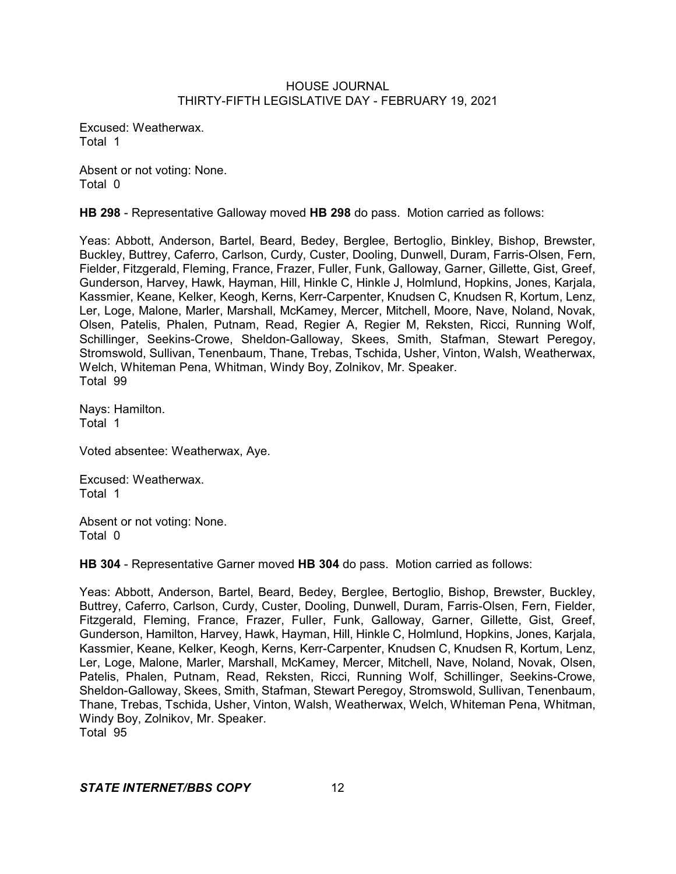Excused: Weatherwax. Total 1

Absent or not voting: None. Total 0

**HB 298** - Representative Galloway moved **HB 298** do pass. Motion carried as follows:

Yeas: Abbott, Anderson, Bartel, Beard, Bedey, Berglee, Bertoglio, Binkley, Bishop, Brewster, Buckley, Buttrey, Caferro, Carlson, Curdy, Custer, Dooling, Dunwell, Duram, Farris-Olsen, Fern, Fielder, Fitzgerald, Fleming, France, Frazer, Fuller, Funk, Galloway, Garner, Gillette, Gist, Greef, Gunderson, Harvey, Hawk, Hayman, Hill, Hinkle C, Hinkle J, Holmlund, Hopkins, Jones, Karjala, Kassmier, Keane, Kelker, Keogh, Kerns, Kerr-Carpenter, Knudsen C, Knudsen R, Kortum, Lenz, Ler, Loge, Malone, Marler, Marshall, McKamey, Mercer, Mitchell, Moore, Nave, Noland, Novak, Olsen, Patelis, Phalen, Putnam, Read, Regier A, Regier M, Reksten, Ricci, Running Wolf, Schillinger, Seekins-Crowe, Sheldon-Galloway, Skees, Smith, Stafman, Stewart Peregoy, Stromswold, Sullivan, Tenenbaum, Thane, Trebas, Tschida, Usher, Vinton, Walsh, Weatherwax, Welch, Whiteman Pena, Whitman, Windy Boy, Zolnikov, Mr. Speaker. Total 99

Nays: Hamilton. Total 1

Voted absentee: Weatherwax, Aye.

Excused: Weatherwax. Total 1

Absent or not voting: None. Total 0

**HB 304** - Representative Garner moved **HB 304** do pass. Motion carried as follows:

Yeas: Abbott, Anderson, Bartel, Beard, Bedey, Berglee, Bertoglio, Bishop, Brewster, Buckley, Buttrey, Caferro, Carlson, Curdy, Custer, Dooling, Dunwell, Duram, Farris-Olsen, Fern, Fielder, Fitzgerald, Fleming, France, Frazer, Fuller, Funk, Galloway, Garner, Gillette, Gist, Greef, Gunderson, Hamilton, Harvey, Hawk, Hayman, Hill, Hinkle C, Holmlund, Hopkins, Jones, Karjala, Kassmier, Keane, Kelker, Keogh, Kerns, Kerr-Carpenter, Knudsen C, Knudsen R, Kortum, Lenz, Ler, Loge, Malone, Marler, Marshall, McKamey, Mercer, Mitchell, Nave, Noland, Novak, Olsen, Patelis, Phalen, Putnam, Read, Reksten, Ricci, Running Wolf, Schillinger, Seekins-Crowe, Sheldon-Galloway, Skees, Smith, Stafman, Stewart Peregoy, Stromswold, Sullivan, Tenenbaum, Thane, Trebas, Tschida, Usher, Vinton, Walsh, Weatherwax, Welch, Whiteman Pena, Whitman, Windy Boy, Zolnikov, Mr. Speaker. Total 95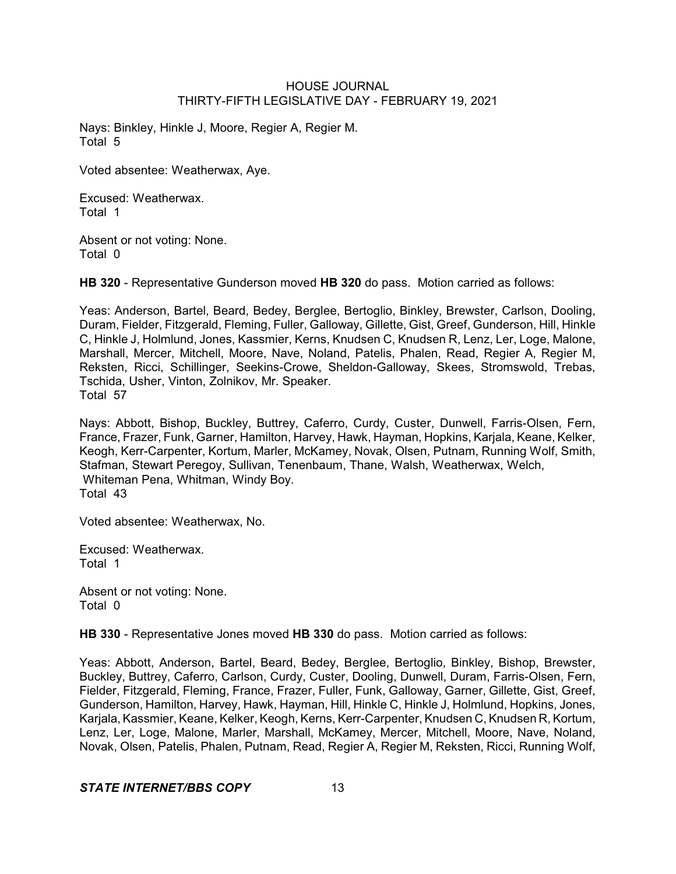Nays: Binkley, Hinkle J, Moore, Regier A, Regier M. Total 5

Voted absentee: Weatherwax, Aye.

Excused: Weatherwax. Total 1

Absent or not voting: None. Total 0

**HB 320** - Representative Gunderson moved **HB 320** do pass. Motion carried as follows:

Yeas: Anderson, Bartel, Beard, Bedey, Berglee, Bertoglio, Binkley, Brewster, Carlson, Dooling, Duram, Fielder, Fitzgerald, Fleming, Fuller, Galloway, Gillette, Gist, Greef, Gunderson, Hill, Hinkle C, Hinkle J, Holmlund, Jones, Kassmier, Kerns, Knudsen C, Knudsen R, Lenz, Ler, Loge, Malone, Marshall, Mercer, Mitchell, Moore, Nave, Noland, Patelis, Phalen, Read, Regier A, Regier M, Reksten, Ricci, Schillinger, Seekins-Crowe, Sheldon-Galloway, Skees, Stromswold, Trebas, Tschida, Usher, Vinton, Zolnikov, Mr. Speaker. Total 57

Nays: Abbott, Bishop, Buckley, Buttrey, Caferro, Curdy, Custer, Dunwell, Farris-Olsen, Fern, France, Frazer, Funk, Garner, Hamilton, Harvey, Hawk, Hayman, Hopkins, Karjala, Keane, Kelker, Keogh, Kerr-Carpenter, Kortum, Marler, McKamey, Novak, Olsen, Putnam, Running Wolf, Smith, Stafman, Stewart Peregoy, Sullivan, Tenenbaum, Thane, Walsh, Weatherwax, Welch, Whiteman Pena, Whitman, Windy Boy. Total 43

Voted absentee: Weatherwax, No.

Excused: Weatherwax. Total 1

Absent or not voting: None. Total 0

**HB 330** - Representative Jones moved **HB 330** do pass. Motion carried as follows:

Yeas: Abbott, Anderson, Bartel, Beard, Bedey, Berglee, Bertoglio, Binkley, Bishop, Brewster, Buckley, Buttrey, Caferro, Carlson, Curdy, Custer, Dooling, Dunwell, Duram, Farris-Olsen, Fern, Fielder, Fitzgerald, Fleming, France, Frazer, Fuller, Funk, Galloway, Garner, Gillette, Gist, Greef, Gunderson, Hamilton, Harvey, Hawk, Hayman, Hill, Hinkle C, Hinkle J, Holmlund, Hopkins, Jones, Karjala, Kassmier, Keane, Kelker, Keogh, Kerns, Kerr-Carpenter, Knudsen C, Knudsen R, Kortum, Lenz, Ler, Loge, Malone, Marler, Marshall, McKamey, Mercer, Mitchell, Moore, Nave, Noland, Novak, Olsen, Patelis, Phalen, Putnam, Read, Regier A, Regier M, Reksten, Ricci, Running Wolf,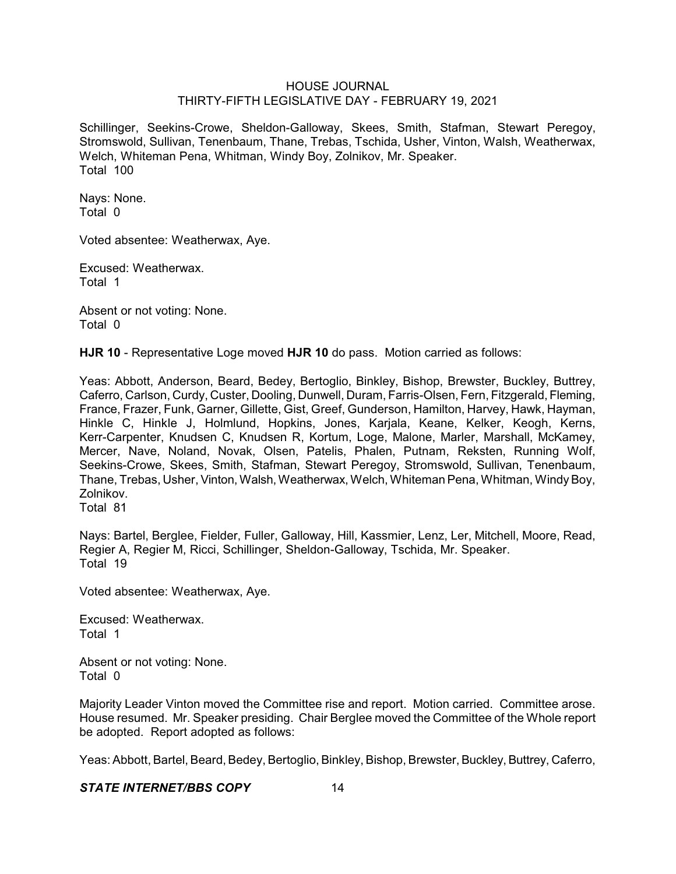Schillinger, Seekins-Crowe, Sheldon-Galloway, Skees, Smith, Stafman, Stewart Peregoy, Stromswold, Sullivan, Tenenbaum, Thane, Trebas, Tschida, Usher, Vinton, Walsh, Weatherwax, Welch, Whiteman Pena, Whitman, Windy Boy, Zolnikov, Mr. Speaker. Total 100

Nays: None. Total 0

Voted absentee: Weatherwax, Aye.

Excused: Weatherwax. Total 1

Absent or not voting: None. Total 0

**HJR 10** - Representative Loge moved **HJR 10** do pass. Motion carried as follows:

Yeas: Abbott, Anderson, Beard, Bedey, Bertoglio, Binkley, Bishop, Brewster, Buckley, Buttrey, Caferro, Carlson, Curdy, Custer, Dooling, Dunwell, Duram, Farris-Olsen, Fern, Fitzgerald, Fleming, France, Frazer, Funk, Garner, Gillette, Gist, Greef, Gunderson, Hamilton, Harvey, Hawk, Hayman, Hinkle C, Hinkle J, Holmlund, Hopkins, Jones, Karjala, Keane, Kelker, Keogh, Kerns, Kerr-Carpenter, Knudsen C, Knudsen R, Kortum, Loge, Malone, Marler, Marshall, McKamey, Mercer, Nave, Noland, Novak, Olsen, Patelis, Phalen, Putnam, Reksten, Running Wolf, Seekins-Crowe, Skees, Smith, Stafman, Stewart Peregoy, Stromswold, Sullivan, Tenenbaum, Thane, Trebas, Usher,Vinton, Walsh, Weatherwax, Welch, Whiteman Pena, Whitman, WindyBoy, Zolnikov.

Total 81

Nays: Bartel, Berglee, Fielder, Fuller, Galloway, Hill, Kassmier, Lenz, Ler, Mitchell, Moore, Read, Regier A, Regier M, Ricci, Schillinger, Sheldon-Galloway, Tschida, Mr. Speaker. Total 19

Voted absentee: Weatherwax, Aye.

Excused: Weatherwax. Total 1

Absent or not voting: None. Total 0

Majority Leader Vinton moved the Committee rise and report. Motion carried. Committee arose. House resumed. Mr. Speaker presiding. Chair Berglee moved the Committee of the Whole report be adopted. Report adopted as follows:

Yeas: Abbott, Bartel, Beard, Bedey, Bertoglio, Binkley, Bishop, Brewster, Buckley, Buttrey, Caferro,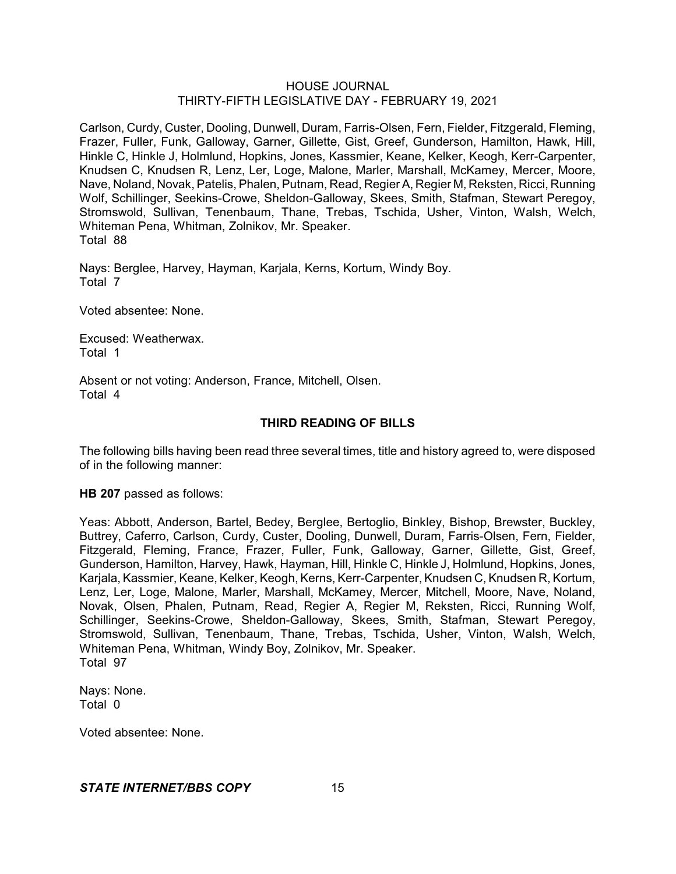Carlson, Curdy, Custer, Dooling, Dunwell, Duram, Farris-Olsen, Fern, Fielder, Fitzgerald, Fleming, Frazer, Fuller, Funk, Galloway, Garner, Gillette, Gist, Greef, Gunderson, Hamilton, Hawk, Hill, Hinkle C, Hinkle J, Holmlund, Hopkins, Jones, Kassmier, Keane, Kelker, Keogh, Kerr-Carpenter, Knudsen C, Knudsen R, Lenz, Ler, Loge, Malone, Marler, Marshall, McKamey, Mercer, Moore, Nave, Noland, Novak, Patelis, Phalen, Putnam, Read, Regier A, Regier M, Reksten, Ricci, Running Wolf, Schillinger, Seekins-Crowe, Sheldon-Galloway, Skees, Smith, Stafman, Stewart Peregoy, Stromswold, Sullivan, Tenenbaum, Thane, Trebas, Tschida, Usher, Vinton, Walsh, Welch, Whiteman Pena, Whitman, Zolnikov, Mr. Speaker. Total 88

Nays: Berglee, Harvey, Hayman, Karjala, Kerns, Kortum, Windy Boy. Total 7

Voted absentee: None.

Excused: Weatherwax. Total 1

Absent or not voting: Anderson, France, Mitchell, Olsen. Total 4

# **THIRD READING OF BILLS**

The following bills having been read three several times, title and history agreed to, were disposed of in the following manner:

**HB 207** passed as follows:

Yeas: Abbott, Anderson, Bartel, Bedey, Berglee, Bertoglio, Binkley, Bishop, Brewster, Buckley, Buttrey, Caferro, Carlson, Curdy, Custer, Dooling, Dunwell, Duram, Farris-Olsen, Fern, Fielder, Fitzgerald, Fleming, France, Frazer, Fuller, Funk, Galloway, Garner, Gillette, Gist, Greef, Gunderson, Hamilton, Harvey, Hawk, Hayman, Hill, Hinkle C, Hinkle J, Holmlund, Hopkins, Jones, Karjala, Kassmier, Keane, Kelker, Keogh, Kerns, Kerr-Carpenter, Knudsen C, Knudsen R, Kortum, Lenz, Ler, Loge, Malone, Marler, Marshall, McKamey, Mercer, Mitchell, Moore, Nave, Noland, Novak, Olsen, Phalen, Putnam, Read, Regier A, Regier M, Reksten, Ricci, Running Wolf, Schillinger, Seekins-Crowe, Sheldon-Galloway, Skees, Smith, Stafman, Stewart Peregoy, Stromswold, Sullivan, Tenenbaum, Thane, Trebas, Tschida, Usher, Vinton, Walsh, Welch, Whiteman Pena, Whitman, Windy Boy, Zolnikov, Mr. Speaker. Total 97

Nays: None. Total 0

Voted absentee: None.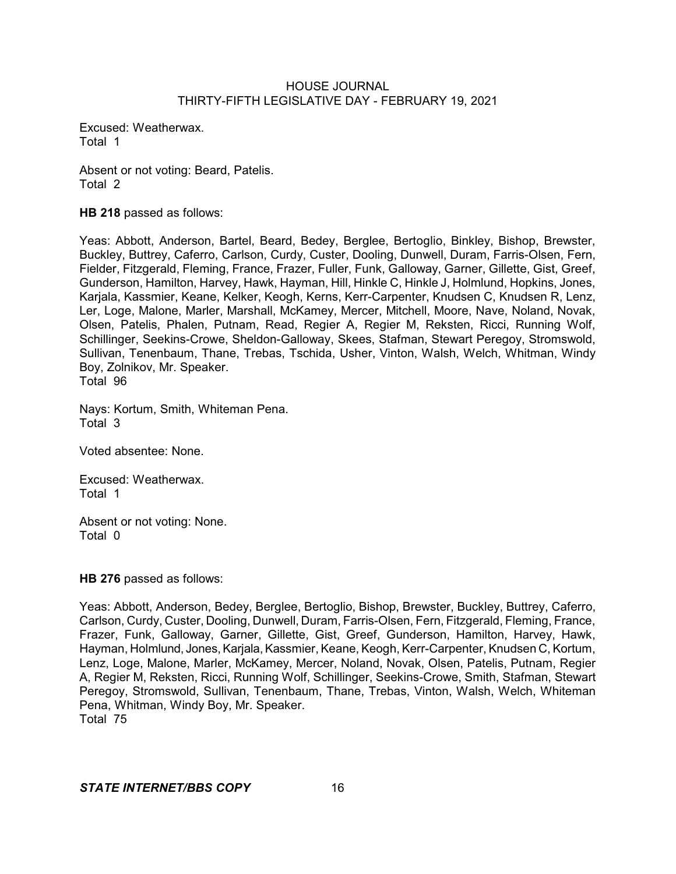Excused: Weatherwax. Total 1

Absent or not voting: Beard, Patelis. Total 2

**HB 218** passed as follows:

Yeas: Abbott, Anderson, Bartel, Beard, Bedey, Berglee, Bertoglio, Binkley, Bishop, Brewster, Buckley, Buttrey, Caferro, Carlson, Curdy, Custer, Dooling, Dunwell, Duram, Farris-Olsen, Fern, Fielder, Fitzgerald, Fleming, France, Frazer, Fuller, Funk, Galloway, Garner, Gillette, Gist, Greef, Gunderson, Hamilton, Harvey, Hawk, Hayman, Hill, Hinkle C, Hinkle J, Holmlund, Hopkins, Jones, Karjala, Kassmier, Keane, Kelker, Keogh, Kerns, Kerr-Carpenter, Knudsen C, Knudsen R, Lenz, Ler, Loge, Malone, Marler, Marshall, McKamey, Mercer, Mitchell, Moore, Nave, Noland, Novak, Olsen, Patelis, Phalen, Putnam, Read, Regier A, Regier M, Reksten, Ricci, Running Wolf, Schillinger, Seekins-Crowe, Sheldon-Galloway, Skees, Stafman, Stewart Peregoy, Stromswold, Sullivan, Tenenbaum, Thane, Trebas, Tschida, Usher, Vinton, Walsh, Welch, Whitman, Windy Boy, Zolnikov, Mr. Speaker. Total 96

Nays: Kortum, Smith, Whiteman Pena. Total 3

Voted absentee: None.

Excused: Weatherwax. Total 1

Absent or not voting: None. Total 0

**HB 276** passed as follows:

Yeas: Abbott, Anderson, Bedey, Berglee, Bertoglio, Bishop, Brewster, Buckley, Buttrey, Caferro, Carlson, Curdy, Custer, Dooling, Dunwell, Duram, Farris-Olsen, Fern, Fitzgerald, Fleming, France, Frazer, Funk, Galloway, Garner, Gillette, Gist, Greef, Gunderson, Hamilton, Harvey, Hawk, Hayman, Holmlund, Jones, Karjala, Kassmier, Keane, Keogh, Kerr-Carpenter, Knudsen C, Kortum, Lenz, Loge, Malone, Marler, McKamey, Mercer, Noland, Novak, Olsen, Patelis, Putnam, Regier A, Regier M, Reksten, Ricci, Running Wolf, Schillinger, Seekins-Crowe, Smith, Stafman, Stewart Peregoy, Stromswold, Sullivan, Tenenbaum, Thane, Trebas, Vinton, Walsh, Welch, Whiteman Pena, Whitman, Windy Boy, Mr. Speaker. Total 75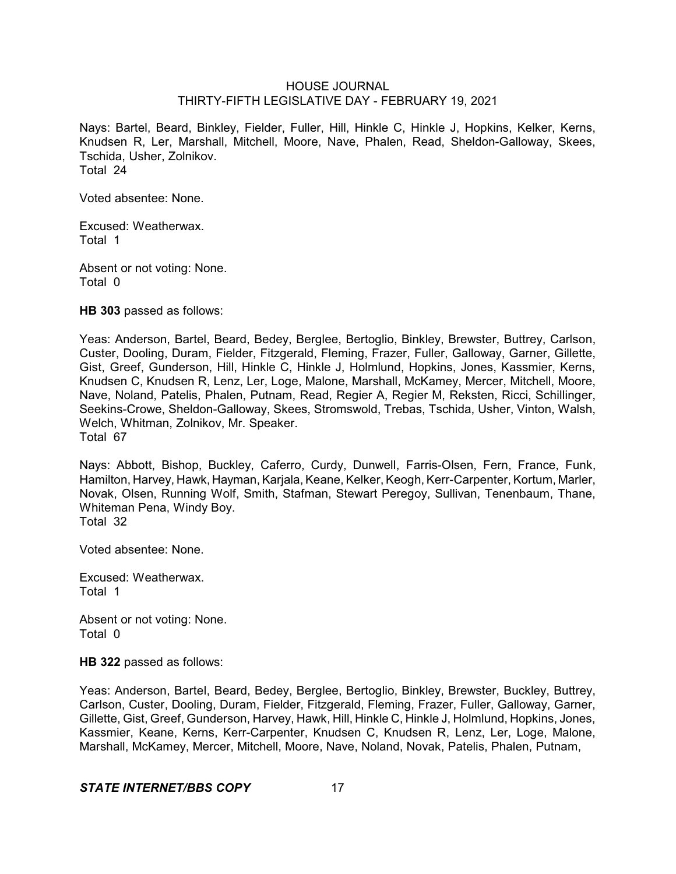Nays: Bartel, Beard, Binkley, Fielder, Fuller, Hill, Hinkle C, Hinkle J, Hopkins, Kelker, Kerns, Knudsen R, Ler, Marshall, Mitchell, Moore, Nave, Phalen, Read, Sheldon-Galloway, Skees, Tschida, Usher, Zolnikov. Total 24

Voted absentee: None.

Excused: Weatherwax. Total 1

Absent or not voting: None. Total 0

**HB 303** passed as follows:

Yeas: Anderson, Bartel, Beard, Bedey, Berglee, Bertoglio, Binkley, Brewster, Buttrey, Carlson, Custer, Dooling, Duram, Fielder, Fitzgerald, Fleming, Frazer, Fuller, Galloway, Garner, Gillette, Gist, Greef, Gunderson, Hill, Hinkle C, Hinkle J, Holmlund, Hopkins, Jones, Kassmier, Kerns, Knudsen C, Knudsen R, Lenz, Ler, Loge, Malone, Marshall, McKamey, Mercer, Mitchell, Moore, Nave, Noland, Patelis, Phalen, Putnam, Read, Regier A, Regier M, Reksten, Ricci, Schillinger, Seekins-Crowe, Sheldon-Galloway, Skees, Stromswold, Trebas, Tschida, Usher, Vinton, Walsh, Welch, Whitman, Zolnikov, Mr. Speaker. Total 67

Nays: Abbott, Bishop, Buckley, Caferro, Curdy, Dunwell, Farris-Olsen, Fern, France, Funk, Hamilton, Harvey, Hawk, Hayman, Karjala, Keane, Kelker, Keogh, Kerr-Carpenter, Kortum, Marler, Novak, Olsen, Running Wolf, Smith, Stafman, Stewart Peregoy, Sullivan, Tenenbaum, Thane, Whiteman Pena, Windy Boy. Total 32

Voted absentee: None.

Excused: Weatherwax. Total 1

Absent or not voting: None. Total 0

**HB 322** passed as follows:

Yeas: Anderson, Bartel, Beard, Bedey, Berglee, Bertoglio, Binkley, Brewster, Buckley, Buttrey, Carlson, Custer, Dooling, Duram, Fielder, Fitzgerald, Fleming, Frazer, Fuller, Galloway, Garner, Gillette, Gist, Greef, Gunderson, Harvey, Hawk, Hill, Hinkle C, Hinkle J, Holmlund, Hopkins, Jones, Kassmier, Keane, Kerns, Kerr-Carpenter, Knudsen C, Knudsen R, Lenz, Ler, Loge, Malone, Marshall, McKamey, Mercer, Mitchell, Moore, Nave, Noland, Novak, Patelis, Phalen, Putnam,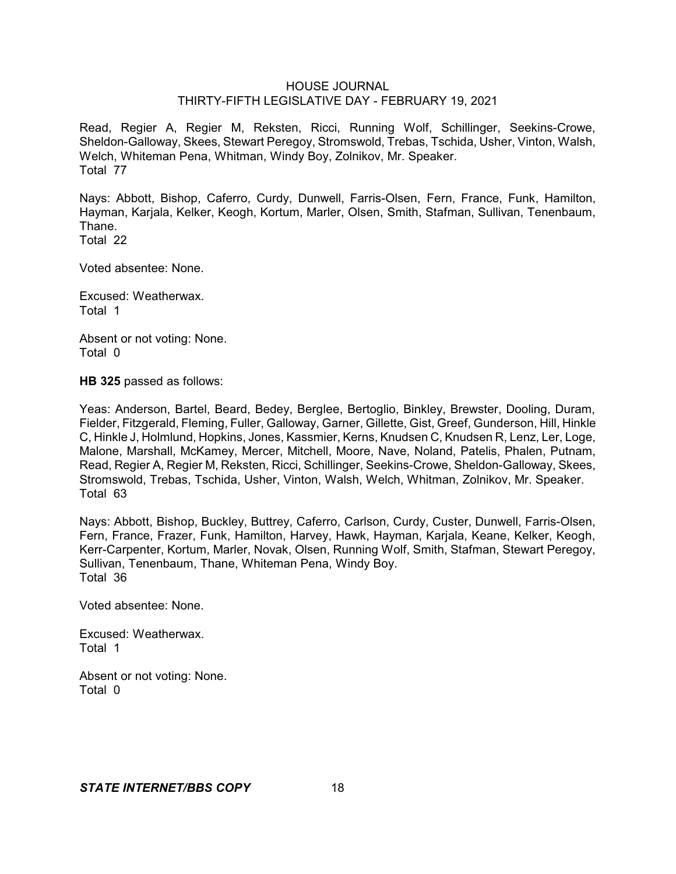Read, Regier A, Regier M, Reksten, Ricci, Running Wolf, Schillinger, Seekins-Crowe, Sheldon-Galloway, Skees, Stewart Peregoy, Stromswold, Trebas, Tschida, Usher, Vinton, Walsh, Welch, Whiteman Pena, Whitman, Windy Boy, Zolnikov, Mr. Speaker. Total 77

Nays: Abbott, Bishop, Caferro, Curdy, Dunwell, Farris-Olsen, Fern, France, Funk, Hamilton, Hayman, Karjala, Kelker, Keogh, Kortum, Marler, Olsen, Smith, Stafman, Sullivan, Tenenbaum, Thane.

Total 22

Voted absentee: None.

Excused: Weatherwax. Total 1

Absent or not voting: None. Total 0

**HB 325** passed as follows:

Yeas: Anderson, Bartel, Beard, Bedey, Berglee, Bertoglio, Binkley, Brewster, Dooling, Duram, Fielder, Fitzgerald, Fleming, Fuller, Galloway, Garner, Gillette, Gist, Greef, Gunderson, Hill, Hinkle C, Hinkle J, Holmlund, Hopkins, Jones, Kassmier, Kerns, Knudsen C, Knudsen R, Lenz, Ler, Loge, Malone, Marshall, McKamey, Mercer, Mitchell, Moore, Nave, Noland, Patelis, Phalen, Putnam, Read, Regier A, Regier M, Reksten, Ricci, Schillinger, Seekins-Crowe, Sheldon-Galloway, Skees, Stromswold, Trebas, Tschida, Usher, Vinton, Walsh, Welch, Whitman, Zolnikov, Mr. Speaker. Total 63

Nays: Abbott, Bishop, Buckley, Buttrey, Caferro, Carlson, Curdy, Custer, Dunwell, Farris-Olsen, Fern, France, Frazer, Funk, Hamilton, Harvey, Hawk, Hayman, Karjala, Keane, Kelker, Keogh, Kerr-Carpenter, Kortum, Marler, Novak, Olsen, Running Wolf, Smith, Stafman, Stewart Peregoy, Sullivan, Tenenbaum, Thane, Whiteman Pena, Windy Boy. Total 36

Voted absentee: None.

Excused: Weatherwax. Total 1

Absent or not voting: None. Total 0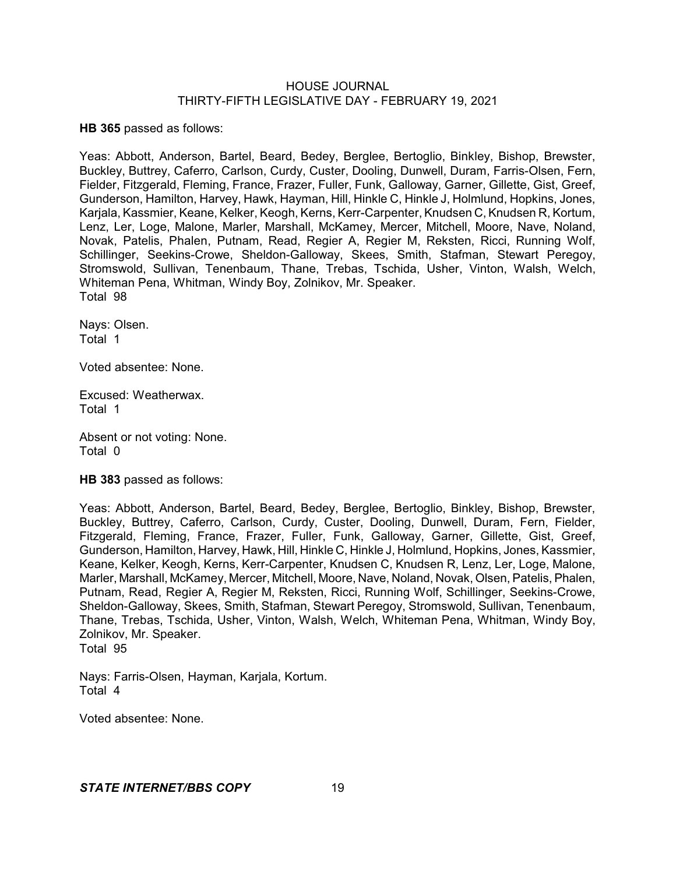**HB 365** passed as follows:

Yeas: Abbott, Anderson, Bartel, Beard, Bedey, Berglee, Bertoglio, Binkley, Bishop, Brewster, Buckley, Buttrey, Caferro, Carlson, Curdy, Custer, Dooling, Dunwell, Duram, Farris-Olsen, Fern, Fielder, Fitzgerald, Fleming, France, Frazer, Fuller, Funk, Galloway, Garner, Gillette, Gist, Greef, Gunderson, Hamilton, Harvey, Hawk, Hayman, Hill, Hinkle C, Hinkle J, Holmlund, Hopkins, Jones, Karjala, Kassmier, Keane, Kelker, Keogh, Kerns, Kerr-Carpenter, Knudsen C, Knudsen R, Kortum, Lenz, Ler, Loge, Malone, Marler, Marshall, McKamey, Mercer, Mitchell, Moore, Nave, Noland, Novak, Patelis, Phalen, Putnam, Read, Regier A, Regier M, Reksten, Ricci, Running Wolf, Schillinger, Seekins-Crowe, Sheldon-Galloway, Skees, Smith, Stafman, Stewart Peregoy, Stromswold, Sullivan, Tenenbaum, Thane, Trebas, Tschida, Usher, Vinton, Walsh, Welch, Whiteman Pena, Whitman, Windy Boy, Zolnikov, Mr. Speaker. Total 98

Nays: Olsen. Total 1

Voted absentee: None.

Excused: Weatherwax. Total 1

Absent or not voting: None. Total 0

**HB 383** passed as follows:

Yeas: Abbott, Anderson, Bartel, Beard, Bedey, Berglee, Bertoglio, Binkley, Bishop, Brewster, Buckley, Buttrey, Caferro, Carlson, Curdy, Custer, Dooling, Dunwell, Duram, Fern, Fielder, Fitzgerald, Fleming, France, Frazer, Fuller, Funk, Galloway, Garner, Gillette, Gist, Greef, Gunderson, Hamilton, Harvey, Hawk, Hill, Hinkle C, Hinkle J, Holmlund, Hopkins, Jones, Kassmier, Keane, Kelker, Keogh, Kerns, Kerr-Carpenter, Knudsen C, Knudsen R, Lenz, Ler, Loge, Malone, Marler, Marshall, McKamey, Mercer, Mitchell, Moore, Nave, Noland, Novak, Olsen, Patelis, Phalen, Putnam, Read, Regier A, Regier M, Reksten, Ricci, Running Wolf, Schillinger, Seekins-Crowe, Sheldon-Galloway, Skees, Smith, Stafman, Stewart Peregoy, Stromswold, Sullivan, Tenenbaum, Thane, Trebas, Tschida, Usher, Vinton, Walsh, Welch, Whiteman Pena, Whitman, Windy Boy, Zolnikov, Mr. Speaker. Total 95

Nays: Farris-Olsen, Hayman, Karjala, Kortum. Total 4

Voted absentee: None.